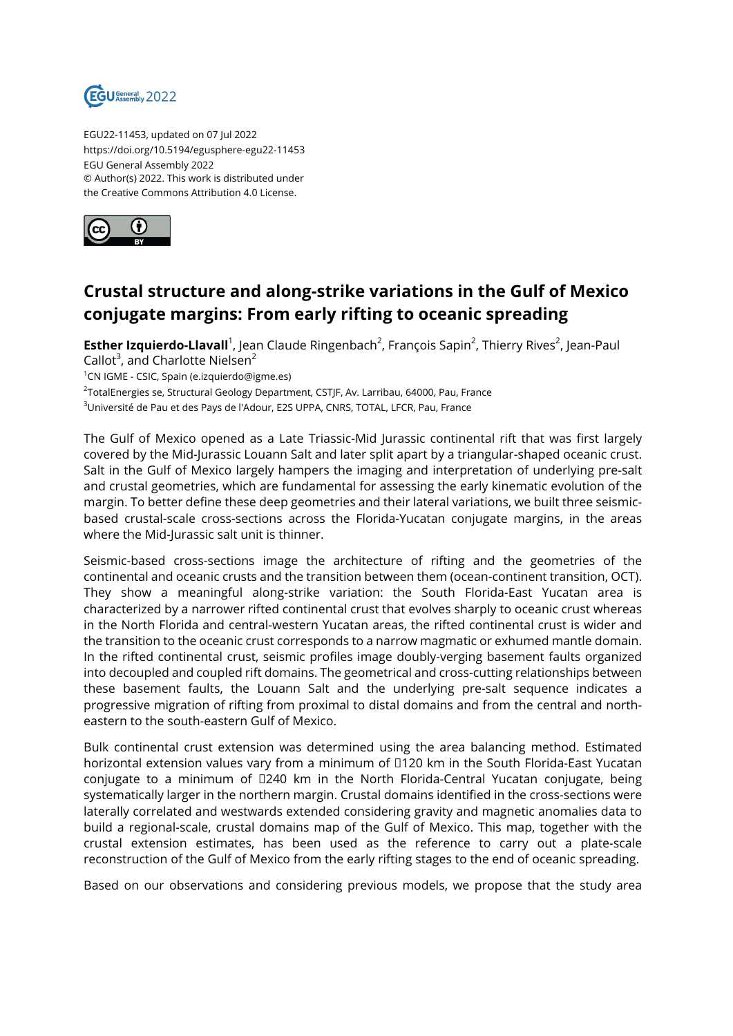

EGU22-11453, updated on 07 Jul 2022 https://doi.org/10.5194/egusphere-egu22-11453 EGU General Assembly 2022 © Author(s) 2022. This work is distributed under the Creative Commons Attribution 4.0 License.



## **Crustal structure and along-strike variations in the Gulf of Mexico conjugate margins: From early rifting to oceanic spreading**

**Esther Izquierdo-Llavall**<sup>1</sup>, Jean Claude Ringenbach<sup>2</sup>, François Sapin<sup>2</sup>, Thierry Rives<sup>2</sup>, Jean-Paul

Callot<sup>3</sup>, and Charlotte Nielsen<sup>2</sup>

<sup>1</sup>CN IGME - CSIC, Spain (e.izquierdo@igme.es)

 $^2$ TotalEnergies se, Structural Geology Department, CSTJF, Av. Larribau, 64000, Pau, France

<sup>3</sup>Université de Pau et des Pays de l'Adour, E2S UPPA, CNRS, TOTAL, LFCR, Pau, France

The Gulf of Mexico opened as a Late Triassic-Mid Jurassic continental rift that was first largely covered by the Mid-Jurassic Louann Salt and later split apart by a triangular-shaped oceanic crust. Salt in the Gulf of Mexico largely hampers the imaging and interpretation of underlying pre-salt and crustal geometries, which are fundamental for assessing the early kinematic evolution of the margin. To better define these deep geometries and their lateral variations, we built three seismicbased crustal-scale cross-sections across the Florida-Yucatan conjugate margins, in the areas where the Mid-Jurassic salt unit is thinner.

Seismic-based cross-sections image the architecture of rifting and the geometries of the continental and oceanic crusts and the transition between them (ocean-continent transition, OCT). They show a meaningful along-strike variation: the South Florida-East Yucatan area is characterized by a narrower rifted continental crust that evolves sharply to oceanic crust whereas in the North Florida and central-western Yucatan areas, the rifted continental crust is wider and the transition to the oceanic crust corresponds to a narrow magmatic or exhumed mantle domain. In the rifted continental crust, seismic profiles image doubly-verging basement faults organized into decoupled and coupled rift domains. The geometrical and cross-cutting relationships between these basement faults, the Louann Salt and the underlying pre-salt sequence indicates a progressive migration of rifting from proximal to distal domains and from the central and northeastern to the south-eastern Gulf of Mexico.

Bulk continental crust extension was determined using the area balancing method. Estimated horizontal extension values vary from a minimum of □120 km in the South Florida-East Yucatan conjugate to a minimum of □240 km in the North Florida-Central Yucatan conjugate, being systematically larger in the northern margin. Crustal domains identified in the cross-sections were laterally correlated and westwards extended considering gravity and magnetic anomalies data to build a regional-scale, crustal domains map of the Gulf of Mexico. This map, together with the crustal extension estimates, has been used as the reference to carry out a plate-scale reconstruction of the Gulf of Mexico from the early rifting stages to the end of oceanic spreading.

Based on our observations and considering previous models, we propose that the study area